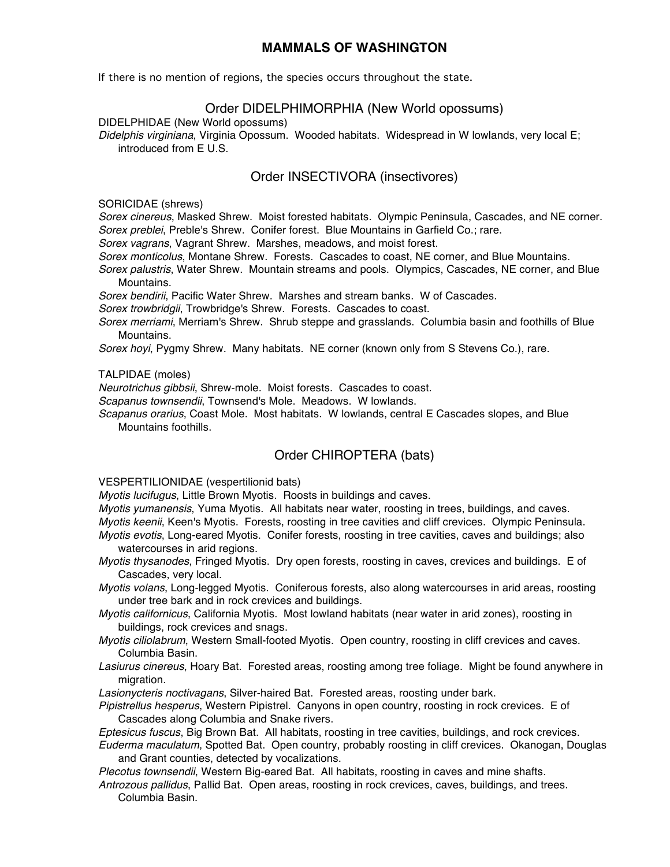## **MAMMALS OF WASHINGTON**

If there is no mention of regions, the species occurs throughout the state.

## Order DIDELPHIMORPHIA (New World opossums)

DIDELPHIDAE (New World opossums)

*Didelphis virginiana*, Virginia Opossum. Wooded habitats. Widespread in W lowlands, very local E; introduced from E U.S.

## Order INSECTIVORA (insectivores)

SORICIDAE (shrews)

*Sorex cinereus*, Masked Shrew. Moist forested habitats. Olympic Peninsula, Cascades, and NE corner. *Sorex preblei*, Preble's Shrew. Conifer forest. Blue Mountains in Garfield Co.; rare.

*Sorex vagrans*, Vagrant Shrew. Marshes, meadows, and moist forest.

*Sorex monticolus*, Montane Shrew. Forests. Cascades to coast, NE corner, and Blue Mountains.

*Sorex palustris*, Water Shrew. Mountain streams and pools. Olympics, Cascades, NE corner, and Blue Mountains.

*Sorex bendirii*, Pacific Water Shrew. Marshes and stream banks. W of Cascades.

*Sorex trowbridgii*, Trowbridge's Shrew. Forests. Cascades to coast.

*Sorex merriami*, Merriam's Shrew. Shrub steppe and grasslands. Columbia basin and foothills of Blue Mountains.

*Sorex hoyi*, Pygmy Shrew. Many habitats. NE corner (known only from S Stevens Co.), rare.

TALPIDAE (moles)

*Neurotrichus gibbsii*, Shrew-mole. Moist forests. Cascades to coast.

*Scapanus townsendii*, Townsend's Mole. Meadows. W lowlands.

*Scapanus orarius*, Coast Mole. Most habitats. W lowlands, central E Cascades slopes, and Blue Mountains foothills.

# Order CHIROPTERA (bats)

VESPERTILIONIDAE (vespertilionid bats)

*Myotis lucifugus*, Little Brown Myotis. Roosts in buildings and caves.

*Myotis yumanensis*, Yuma Myotis. All habitats near water, roosting in trees, buildings, and caves.

*Myotis keenii*, Keen's Myotis. Forests, roosting in tree cavities and cliff crevices. Olympic Peninsula.

- *Myotis evotis*, Long-eared Myotis. Conifer forests, roosting in tree cavities, caves and buildings; also watercourses in arid regions.
- *Myotis thysanodes*, Fringed Myotis. Dry open forests, roosting in caves, crevices and buildings. E of Cascades, very local.

*Myotis volans*, Long-legged Myotis. Coniferous forests, also along watercourses in arid areas, roosting under tree bark and in rock crevices and buildings.

*Myotis californicus*, California Myotis. Most lowland habitats (near water in arid zones), roosting in buildings, rock crevices and snags.

*Myotis ciliolabrum*, Western Small-footed Myotis. Open country, roosting in cliff crevices and caves. Columbia Basin.

*Lasiurus cinereus*, Hoary Bat. Forested areas, roosting among tree foliage. Might be found anywhere in migration.

*Lasionycteris noctivagans*, Silver-haired Bat. Forested areas, roosting under bark.

*Pipistrellus hesperus*, Western Pipistrel. Canyons in open country, roosting in rock crevices. E of Cascades along Columbia and Snake rivers.

*Eptesicus fuscus*, Big Brown Bat. All habitats, roosting in tree cavities, buildings, and rock crevices.

*Euderma maculatum*, Spotted Bat. Open country, probably roosting in cliff crevices. Okanogan, Douglas and Grant counties, detected by vocalizations.

*Plecotus townsendii*, Western Big-eared Bat. All habitats, roosting in caves and mine shafts.

*Antrozous pallidus*, Pallid Bat. Open areas, roosting in rock crevices, caves, buildings, and trees. Columbia Basin.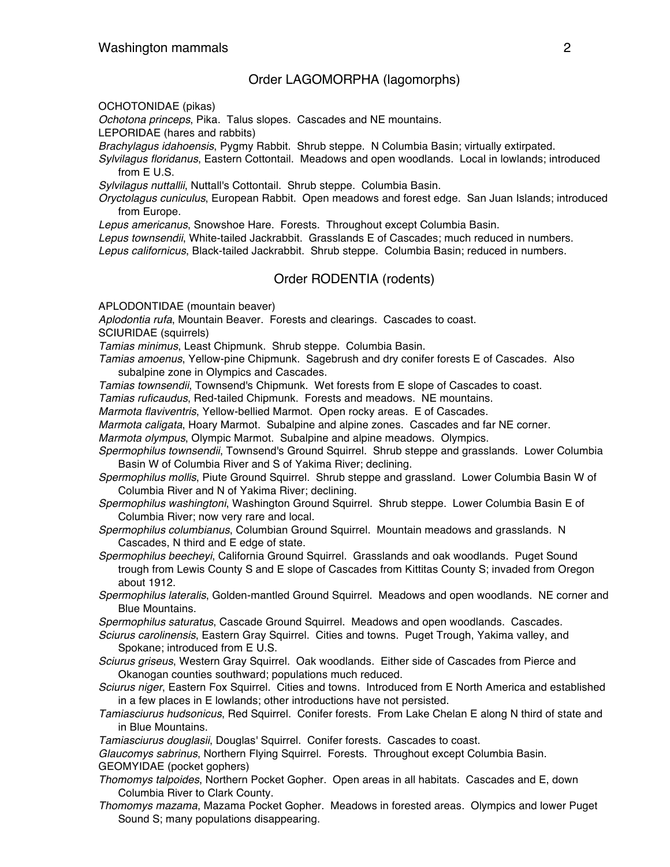### Order LAGOMORPHA (lagomorphs)

OCHOTONIDAE (pikas)

*Ochotona princeps*, Pika. Talus slopes. Cascades and NE mountains.

LEPORIDAE (hares and rabbits)

*Brachylagus idahoensis*, Pygmy Rabbit. Shrub steppe. N Columbia Basin; virtually extirpated.

*Sylvilagus floridanus*, Eastern Cottontail. Meadows and open woodlands. Local in lowlands; introduced from E U.S.

*Sylvilagus nuttallii*, Nuttall's Cottontail. Shrub steppe. Columbia Basin.

*Oryctolagus cuniculus*, European Rabbit. Open meadows and forest edge. San Juan Islands; introduced from Europe.

*Lepus americanus*, Snowshoe Hare. Forests. Throughout except Columbia Basin.

*Lepus townsendii*, White-tailed Jackrabbit. Grasslands E of Cascades; much reduced in numbers.

*Lepus californicus*, Black-tailed Jackrabbit. Shrub steppe. Columbia Basin; reduced in numbers.

### Order RODENTIA (rodents)

APLODONTIDAE (mountain beaver)

*Aplodontia rufa*, Mountain Beaver. Forests and clearings. Cascades to coast.

SCIURIDAE (squirrels)

*Tamias minimus*, Least Chipmunk. Shrub steppe. Columbia Basin.

*Tamias amoenus*, Yellow-pine Chipmunk. Sagebrush and dry conifer forests E of Cascades. Also subalpine zone in Olympics and Cascades.

*Tamias townsendii*, Townsend's Chipmunk. Wet forests from E slope of Cascades to coast.

*Tamias ruficaudus*, Red-tailed Chipmunk. Forests and meadows. NE mountains.

*Marmota flaviventris*, Yellow-bellied Marmot. Open rocky areas. E of Cascades.

*Marmota caligata*, Hoary Marmot. Subalpine and alpine zones. Cascades and far NE corner.

*Marmota olympus*, Olympic Marmot. Subalpine and alpine meadows. Olympics.

- *Spermophilus townsendii*, Townsend's Ground Squirrel. Shrub steppe and grasslands. Lower Columbia Basin W of Columbia River and S of Yakima River; declining.
- *Spermophilus mollis*, Piute Ground Squirrel. Shrub steppe and grassland. Lower Columbia Basin W of Columbia River and N of Yakima River; declining.
- *Spermophilus washingtoni*, Washington Ground Squirrel. Shrub steppe. Lower Columbia Basin E of Columbia River; now very rare and local.

*Spermophilus columbianus*, Columbian Ground Squirrel. Mountain meadows and grasslands. N Cascades, N third and E edge of state.

*Spermophilus beecheyi*, California Ground Squirrel. Grasslands and oak woodlands. Puget Sound trough from Lewis County S and E slope of Cascades from Kittitas County S; invaded from Oregon about 1912.

*Spermophilus lateralis*, Golden-mantled Ground Squirrel. Meadows and open woodlands. NE corner and Blue Mountains.

*Spermophilus saturatus*, Cascade Ground Squirrel. Meadows and open woodlands. Cascades.

- *Sciurus carolinensis*, Eastern Gray Squirrel. Cities and towns. Puget Trough, Yakima valley, and Spokane; introduced from E U.S.
- *Sciurus griseus*, Western Gray Squirrel. Oak woodlands. Either side of Cascades from Pierce and Okanogan counties southward; populations much reduced.
- *Sciurus niger*, Eastern Fox Squirrel. Cities and towns. Introduced from E North America and established in a few places in E lowlands; other introductions have not persisted.
- *Tamiasciurus hudsonicus*, Red Squirrel. Conifer forests. From Lake Chelan E along N third of state and in Blue Mountains.

*Tamiasciurus douglasii*, Douglas' Squirrel. Conifer forests. Cascades to coast.

*Glaucomys sabrinus*, Northern Flying Squirrel. Forests. Throughout except Columbia Basin. GEOMYIDAE (pocket gophers)

- *Thomomys talpoides*, Northern Pocket Gopher. Open areas in all habitats. Cascades and E, down Columbia River to Clark County.
- *Thomomys mazama*, Mazama Pocket Gopher. Meadows in forested areas. Olympics and lower Puget Sound S; many populations disappearing.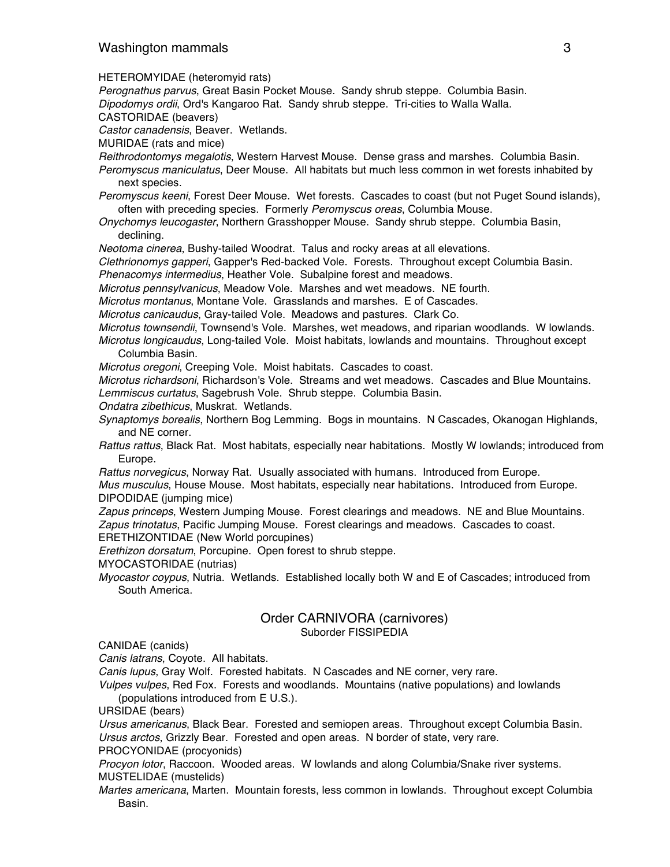HETEROMYIDAE (heteromyid rats)

*Perognathus parvus*, Great Basin Pocket Mouse. Sandy shrub steppe. Columbia Basin.

*Dipodomys ordii*, Ord's Kangaroo Rat. Sandy shrub steppe. Tri-cities to Walla Walla.

CASTORIDAE (beavers)

*Castor canadensis*, Beaver. Wetlands.

MURIDAE (rats and mice)

*Reithrodontomys megalotis*, Western Harvest Mouse. Dense grass and marshes. Columbia Basin.

- *Peromyscus maniculatus*, Deer Mouse. All habitats but much less common in wet forests inhabited by next species.
- *Peromyscus keeni*, Forest Deer Mouse. Wet forests. Cascades to coast (but not Puget Sound islands), often with preceding species. Formerly *Peromyscus oreas*, Columbia Mouse.
- *Onychomys leucogaster*, Northern Grasshopper Mouse. Sandy shrub steppe. Columbia Basin, declining.
- *Neotoma cinerea*, Bushy-tailed Woodrat. Talus and rocky areas at all elevations.

*Clethrionomys gapperi*, Gapper's Red-backed Vole. Forests. Throughout except Columbia Basin. *Phenacomys intermedius*, Heather Vole. Subalpine forest and meadows.

*Microtus pennsylvanicus*, Meadow Vole. Marshes and wet meadows. NE fourth.

*Microtus montanus*, Montane Vole. Grasslands and marshes. E of Cascades.

*Microtus canicaudus*, Gray-tailed Vole. Meadows and pastures. Clark Co.

- *Microtus townsendii*, Townsend's Vole. Marshes, wet meadows, and riparian woodlands. W lowlands. *Microtus longicaudus*, Long-tailed Vole. Moist habitats, lowlands and mountains. Throughout except
	- Columbia Basin.

*Microtus oregoni*, Creeping Vole. Moist habitats. Cascades to coast.

*Microtus richardsoni*, Richardson's Vole. Streams and wet meadows. Cascades and Blue Mountains. *Lemmiscus curtatus*, Sagebrush Vole. Shrub steppe. Columbia Basin.

- *Ondatra zibethicus*, Muskrat. Wetlands.
- *Synaptomys borealis*, Northern Bog Lemming. Bogs in mountains. N Cascades, Okanogan Highlands, and NE corner.
- *Rattus rattus*, Black Rat. Most habitats, especially near habitations. Mostly W lowlands; introduced from Europe.
- *Rattus norvegicus*, Norway Rat. Usually associated with humans. Introduced from Europe.

*Mus musculus*, House Mouse. Most habitats, especially near habitations. Introduced from Europe. DIPODIDAE (jumping mice)

*Zapus princeps*, Western Jumping Mouse. Forest clearings and meadows. NE and Blue Mountains. *Zapus trinotatus*, Pacific Jumping Mouse. Forest clearings and meadows. Cascades to coast.

ERETHIZONTIDAE (New World porcupines)

*Erethizon dorsatum*, Porcupine. Open forest to shrub steppe.

MYOCASTORIDAE (nutrias)

*Myocastor coypus*, Nutria. Wetlands. Established locally both W and E of Cascades; introduced from South America.

# Order CARNIVORA (carnivores)

Suborder FISSIPEDIA

CANIDAE (canids)

*Canis latrans*, Coyote. All habitats.

*Canis lupus*, Gray Wolf. Forested habitats. N Cascades and NE corner, very rare.

*Vulpes vulpes*, Red Fox. Forests and woodlands. Mountains (native populations) and lowlands (populations introduced from E U.S.).

URSIDAE (bears)

*Ursus americanus*, Black Bear. Forested and semiopen areas. Throughout except Columbia Basin. *Ursus arctos*, Grizzly Bear. Forested and open areas. N border of state, very rare.

PROCYONIDAE (procyonids)

*Procyon lotor*, Raccoon. Wooded areas. W lowlands and along Columbia/Snake river systems. MUSTELIDAE (mustelids)

*Martes americana*, Marten. Mountain forests, less common in lowlands. Throughout except Columbia Basin.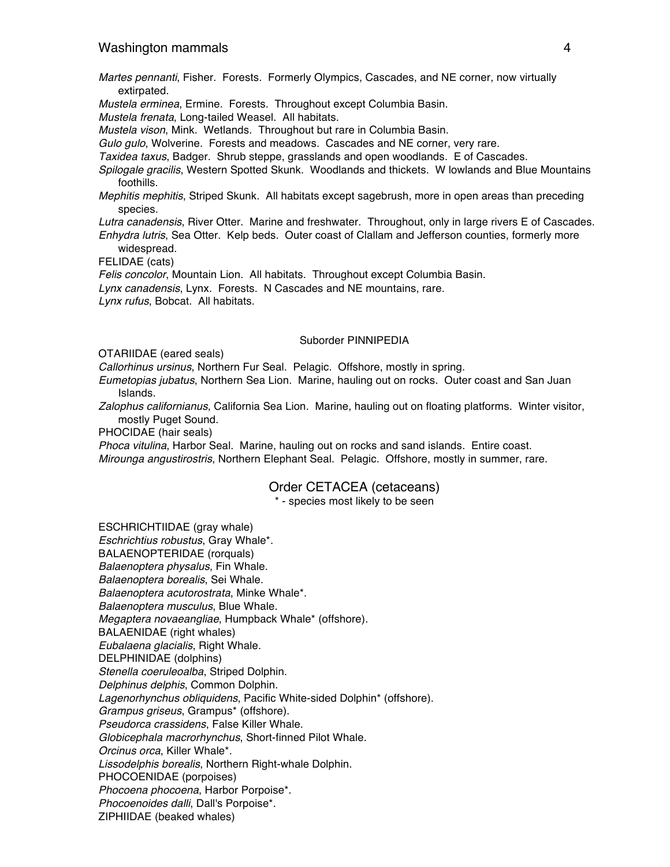- *Martes pennanti*, Fisher. Forests. Formerly Olympics, Cascades, and NE corner, now virtually extirpated.
- *Mustela erminea*, Ermine. Forests. Throughout except Columbia Basin.

*Mustela frenata*, Long-tailed Weasel. All habitats.

*Mustela vison*, Mink. Wetlands. Throughout but rare in Columbia Basin.

*Gulo gulo*, Wolverine. Forests and meadows. Cascades and NE corner, very rare.

*Taxidea taxus*, Badger. Shrub steppe, grasslands and open woodlands. E of Cascades.

- *Spilogale gracilis*, Western Spotted Skunk. Woodlands and thickets. W lowlands and Blue Mountains foothills.
- *Mephitis mephitis*, Striped Skunk. All habitats except sagebrush, more in open areas than preceding species.
- *Lutra canadensis*, River Otter. Marine and freshwater. Throughout, only in large rivers E of Cascades.
- *Enhydra lutris*, Sea Otter. Kelp beds. Outer coast of Clallam and Jefferson counties, formerly more widespread.

FELIDAE (cats)

*Felis concolor*, Mountain Lion. All habitats. Throughout except Columbia Basin.

*Lynx canadensis*, Lynx. Forests. N Cascades and NE mountains, rare.

*Lynx rufus*, Bobcat. All habitats.

#### Suborder PINNIPEDIA

OTARIIDAE (eared seals)

*Callorhinus ursinus*, Northern Fur Seal. Pelagic. Offshore, mostly in spring.

- *Eumetopias jubatus*, Northern Sea Lion. Marine, hauling out on rocks. Outer coast and San Juan Islands.
- *Zalophus californianus*, California Sea Lion. Marine, hauling out on floating platforms. Winter visitor, mostly Puget Sound.

PHOCIDAE (hair seals)

*Phoca vitulina*, Harbor Seal. Marine, hauling out on rocks and sand islands. Entire coast. *Mirounga angustirostris*, Northern Elephant Seal. Pelagic. Offshore, mostly in summer, rare.

### Order CETACEA (cetaceans)

\* - species most likely to be seen

ESCHRICHTIIDAE (gray whale) *Eschrichtius robustus*, Gray Whale\*. BALAENOPTERIDAE (rorquals) *Balaenoptera physalus*, Fin Whale. *Balaenoptera borealis*, Sei Whale. *Balaenoptera acutorostrata*, Minke Whale\*. *Balaenoptera musculus*, Blue Whale. *Megaptera novaeangliae*, Humpback Whale\* (offshore). BALAENIDAE (right whales) *Eubalaena glacialis*, Right Whale. DELPHINIDAE (dolphins) *Stenella coeruleoalba*, Striped Dolphin. *Delphinus delphis*, Common Dolphin. *Lagenorhynchus obliquidens*, Pacific White-sided Dolphin\* (offshore). *Grampus griseus*, Grampus\* (offshore). *Pseudorca crassidens*, False Killer Whale. *Globicephala macrorhynchus*, Short-finned Pilot Whale. *Orcinus orca*, Killer Whale\*. *Lissodelphis borealis*, Northern Right-whale Dolphin. PHOCOENIDAE (porpoises) *Phocoena phocoena*, Harbor Porpoise\*. *Phocoenoides dalli*, Dall's Porpoise\*. ZIPHIIDAE (beaked whales)